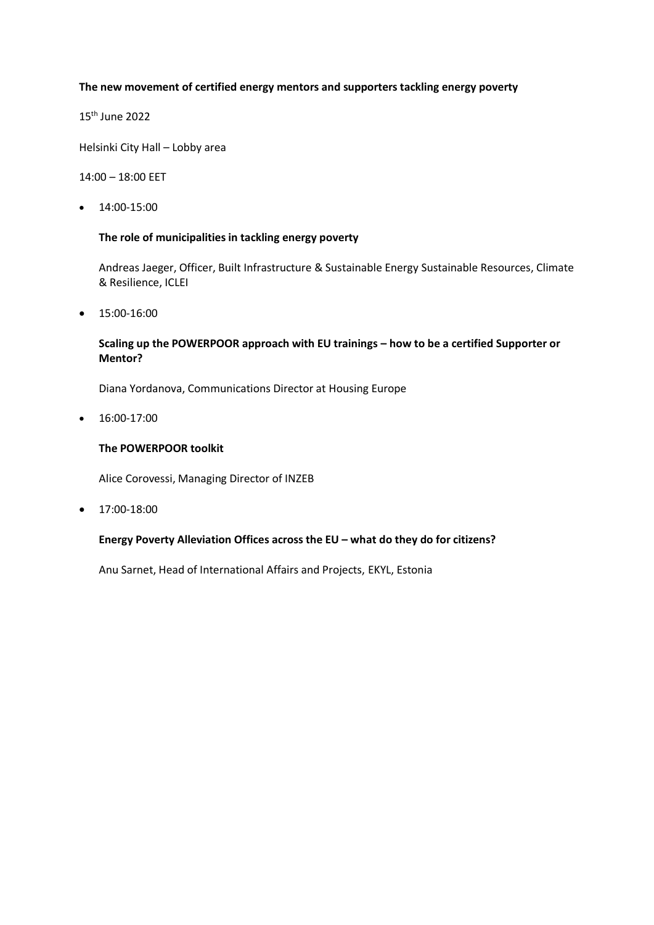## **The new movement of certified energy mentors and supporters tackling energy poverty**

15th June 2022

Helsinki City Hall – Lobby area

14:00 – 18:00 EET

14:00-15:00

## **The role of municipalities in tackling energy poverty**

Andreas Jaeger, Officer, Built Infrastructure & Sustainable Energy Sustainable Resources, Climate & Resilience, ICLEI

 $\bullet$  15:00-16:00

# **Scaling up the POWERPOOR approach with EU trainings – how to be a certified Supporter or Mentor?**

Diana Yordanova, Communications Director at Housing Europe

• 16:00-17:00

# **The POWERPOOR toolkit**

Alice Corovessi, Managing Director of INZEB

• 17:00-18:00

## **Energy Poverty Alleviation Offices across the EU – what do they do for citizens?**

Anu Sarnet, Head of International Affairs and Projects, EKYL, Estonia